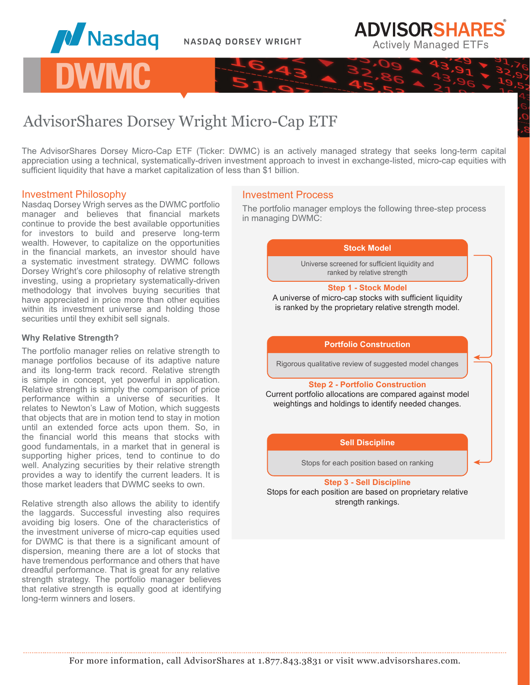





The AdvisorShares Dorsey Micro-Cap ETF (Ticker: DWMC) is an actively managed strategy that seeks long-term capital appreciation using a technical, systematically-driven investment approach to invest in exchange-listed, micro-cap equities with sufficient liquidity that have a market capitalization of less than \$1 billion.

# Investment Philosophy

Nasdaq Dorsey Wrigh serves as the DWMC portfolio manager and believes that financial markets continue to provide the best available opportunities for investors to build and preserve long-term wealth. However, to capitalize on the opportunities in the financial markets, an investor should have a systematic investment strategy. DWMC follows Dorsey Wright's core philosophy of relative strength investing, using a proprietary systematically-driven methodology that involves buying securities that have appreciated in price more than other equities within its investment universe and holding those securities until they exhibit sell signals.

## **Why Relative Strength?**

The portfolio manager relies on relative strength to manage portfolios because of its adaptive nature and its long-term track record. Relative strength is simple in concept, yet powerful in application. Relative strength is simply the comparison of price performance within a universe of securities. It relates to Newton's Law of Motion, which suggests that objects that are in motion tend to stay in motion until an extended force acts upon them. So, in the financial world this means that stocks with good fundamentals, in a market that in general is supporting higher prices, tend to continue to do well. Analyzing securities by their relative strength provides a way to identify the current leaders. It is those market leaders that DWMC seeks to own.

Relative strength also allows the ability to identify the laggards. Successful investing also requires avoiding big losers. One of the characteristics of the investment universe of micro-cap equities used for DWMC is that there is a significant amount of dispersion, meaning there are a lot of stocks that have tremendous performance and others that have dreadful performance. That is great for any relative strength strategy. The portfolio manager believes that relative strength is equally good at identifying long-term winners and losers.

# Investment Process

The portfolio manager employs the following three-step process in managing DWMC:

**ADVISORSHARES** 

**Actively Managed ETFs** 

#### **Stock Model**

Universe screened for sufficient liquidity and ranked by relative strength

#### **Step 1 - Stock Model**

A universe of micro-cap stocks with sufficient liquidity is ranked by the proprietary relative strength model.

## **Portfolio Construction**

Rigorous qualitative review of suggested model changes

#### **Step 2 - Portfolio Construction**

Current portfolio allocations are compared against model weightings and holdings to identify needed changes.

## **Sell Discipline**

Stops for each position based on ranking

**Step 3 - Sell Discipline** Stops for each position are based on proprietary relative strength rankings.